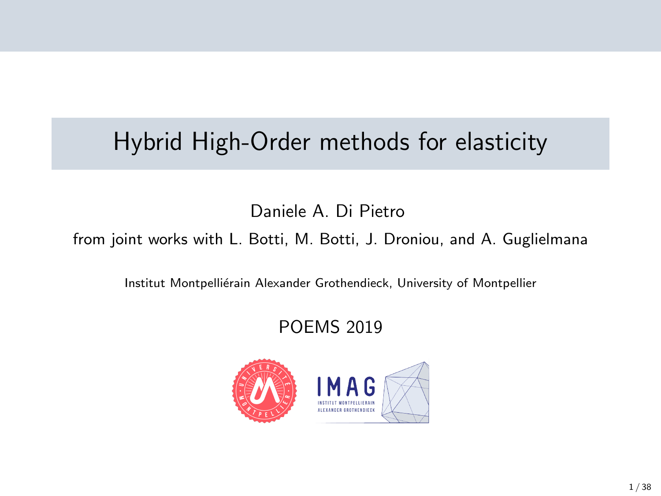# Hybrid High-Order methods for elasticity

Daniele A. Di Pietro

from joint works with L. Botti, M. Botti, J. Droniou, and A. Guglielmana

Institut Montpelliérain Alexander Grothendieck, University of Montpellier

### POEMS 2019

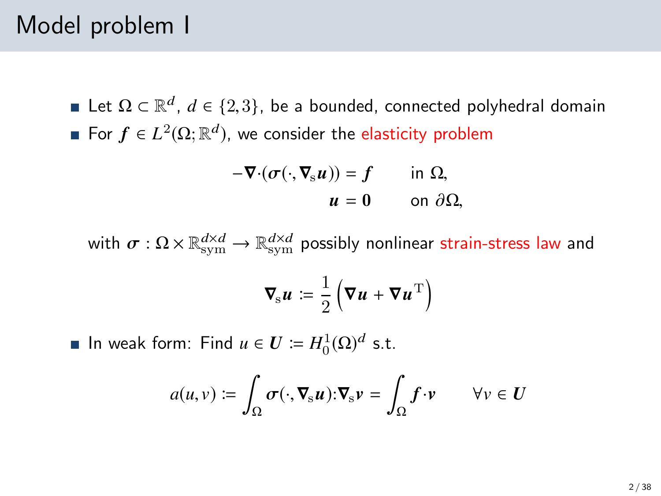### Model problem I

Let  $\Omega \subset \mathbb{R}^d$ ,  $d \in \{2,3\}$ , be a bounded, connected polyhedral domain For  $f \in L^2(\Omega;\mathbb{R}^d)$ , we consider the elasticity problem

$$
-\nabla \cdot (\sigma(\cdot, \nabla_{\mathbf{s}} u)) = f \quad \text{in } \Omega, \n u = 0 \quad \text{on } \partial \Omega,
$$

with  $\sigma:\Omega\times\mathbb{R}_\mathrm{sym}^{d\times d}\to\mathbb{R}_\mathrm{sym}^{d\times d}$  possibly nonlinear strain-stress law and

$$
\nabla_{\rm s} u \coloneqq \frac{1}{2} \left( \nabla u + \nabla u^{\rm T} \right)
$$

In weak form: Find  $u \in U \coloneqq H_0^1(\Omega)^d$  s.t.

$$
a(u,v) := \int_{\Omega} \sigma(\cdot, \nabla_{\mathbf{s}} u) : \nabla_{\mathbf{s}} v = \int_{\Omega} f \cdot v \qquad \forall v \in U
$$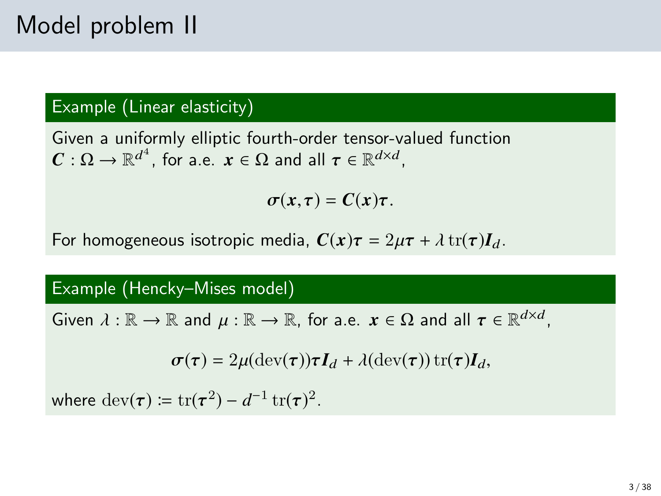### Example (Linear elasticity)

Given a uniformly elliptic fourth-order tensor-valued function  $\mathbf{C}: \Omega \to \mathbb{R}^{d^4}$ , for a.e.  $\mathbf{x} \in \Omega$  and all  $\boldsymbol{\tau} \in \mathbb{R}^{d \times d}$ ,

 $\sigma(x,\tau) = C(x)\tau$ .

For homogeneous isotropic media,  $C(x)\tau = 2\mu\tau + \lambda \operatorname{tr}(\tau)I_d$ .

#### Example (Hencky–Mises model)

Given  $\lambda : \mathbb{R} \to \mathbb{R}$  and  $\mu : \mathbb{R} \to \mathbb{R}$ , for a.e.  $x \in \Omega$  and all  $\tau \in \mathbb{R}^{d \times d}$ ,

$$
\boldsymbol{\sigma}(\boldsymbol{\tau}) = 2\mu(\text{dev}(\boldsymbol{\tau}))\boldsymbol{\tau}\boldsymbol{I}_d + \lambda(\text{dev}(\boldsymbol{\tau}))\,\text{tr}(\boldsymbol{\tau})\boldsymbol{I}_d,
$$

where  $\text{dev}(\tau) \coloneqq \text{tr}(\tau^2) - d^{-1} \text{tr}(\tau)^2$ .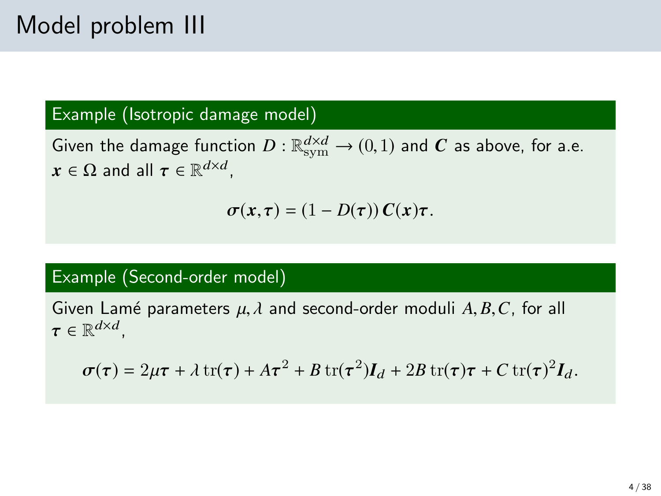### Example (Isotropic damage model)

Given the damage function  $D : \mathbb{R}^{d \times d}_{sym} \to (0,1)$  and C as above, for a.e.<br> $\mathbf{v} \in \mathbb{C}$  and all  $\pi \in \mathbb{R}^{d \times d}$  $x \in \Omega$  and all  $\tau \in \mathbb{R}^{d \times d}$ ,

$$
\sigma(x,\tau)=(1-D(\tau))\,C(x)\tau.
$$

### Example (Second-order model)

Given Lamé parameters  $\mu$ ,  $\lambda$  and second-order moduli  $A$ ,  $B$ ,  $C$ , for all  $\tau \in \mathbb{R}^{d \times d}$ ,

$$
\sigma(\tau) = 2\mu\tau + \lambda \operatorname{tr}(\tau) + A\tau^2 + B \operatorname{tr}(\tau^2)I_d + 2B \operatorname{tr}(\tau)\tau + C \operatorname{tr}(\tau)^2 I_d.
$$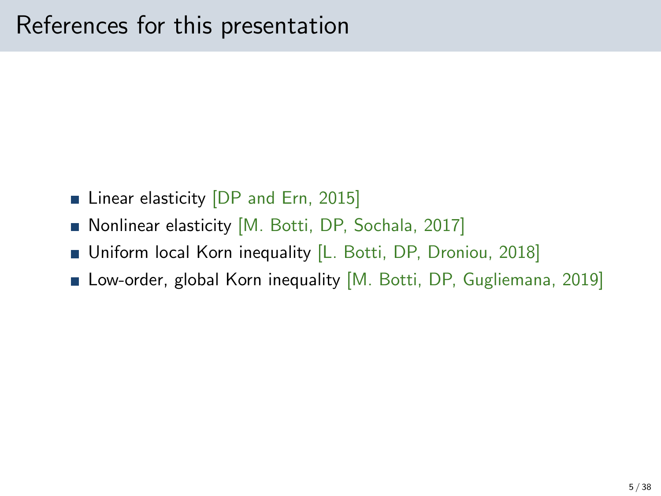- **Linear elasticity DP and Ern, 2015**
- Nonlinear elasticity [M. Botti, DP, Sochala, 2017]
- **Uniform local Korn inequality [L. Botti, DP, Droniou, 2018]**
- Low-order, global Korn inequality [M. Botti, DP, Gugliemana, 2019]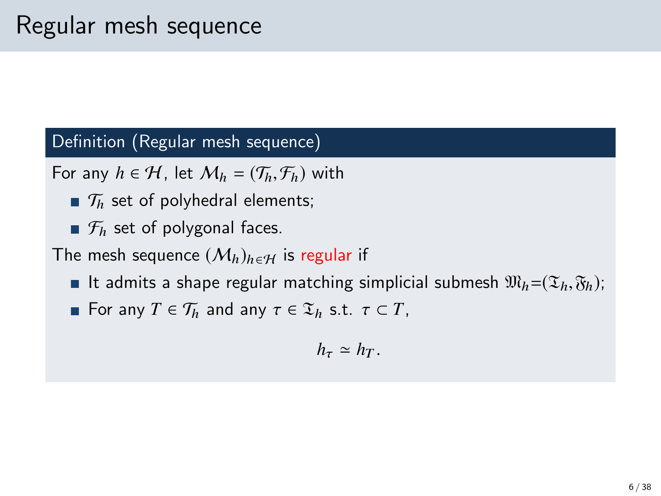Definition (Regular mesh sequence)

For any  $h \in H$ , let  $M_h = (\mathcal{T}_h, \mathcal{F}_h)$  with

- $\mathcal{T}_h$  set of polyhedral elements;
- $\mathcal{F}_h$  set of polygonal faces.

The mesh sequence  $(M_h)_{h \in H}$  is regular if

- It admits a shape regular matching simplicial submesh  $\mathfrak{M}_h = (\mathfrak{T}_h, \mathfrak{F}_h)$ ;
- **For any**  $T \in \mathcal{T}_h$  and any  $\tau \in \mathcal{I}_h$  s.t.  $\tau \subset T$ ,

$$
h_\tau \simeq h_T.
$$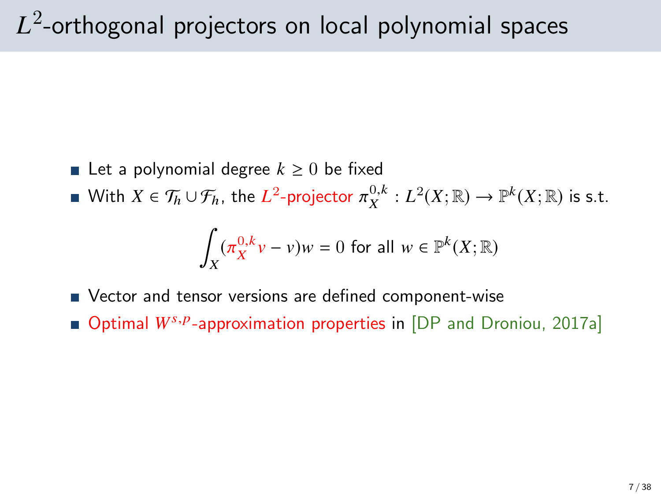# $L^2\!\!$ -orthogonal projectors on local polynomial spaces

- Let a polynomial degree  $k \geq 0$  be fixed
- With  $X \in \mathcal{T}_h \cup \mathcal{F}_h$ , the  $L^2$ -projector  $\pi_X^{0,k} : L^2(X; \mathbb{R}) \to \mathbb{P}^k(X; \mathbb{R})$  is s.t.

$$
\int_X (\pi_X^{0,k} v - v)w = 0 \text{ for all } w \in \mathbb{P}^k(X; \mathbb{R})
$$

- Vector and tensor versions are defined component-wise
- Optimal W<sup>s, p</sup>-approximation properties in [\[DP and Droniou, 2017a\]](#page-39-1)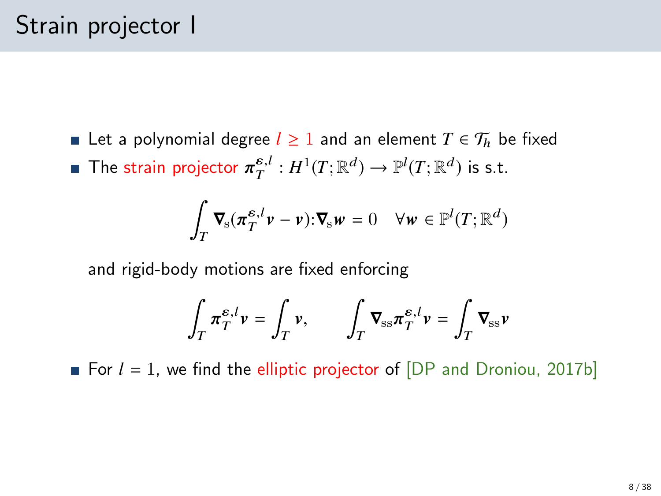**Example 1** Let a polynomial degree  $l \ge 1$  and an element  $T \in \mathcal{T}_h$  be fixed The strain projector  $\pi_T^{\varepsilon,l}: H^1(T; \mathbb{R}^d) \to \mathbb{P}^l(T; \mathbb{R}^d)$  is s.t.

$$
\int_T \mathbf{\nabla}_{\mathbf{s}} (\pi_T^{\varepsilon,l} \mathbf{v} - \mathbf{v}) \cdot \mathbf{\nabla}_{\mathbf{s}} \mathbf{w} = 0 \quad \forall \mathbf{w} \in \mathbb{P}^l(T; \mathbb{R}^d)
$$

and rigid-body motions are fixed enforcing

$$
\int_T \pi_T^{\varepsilon,l} v = \int_T v, \qquad \int_T \nabla_{\mathrm{ss}} \pi_T^{\varepsilon,l} v = \int_T \nabla_{\mathrm{ss}} v
$$

For  $l = 1$ , we find the elliptic projector of  $[DP$  and Droniou, 2017b]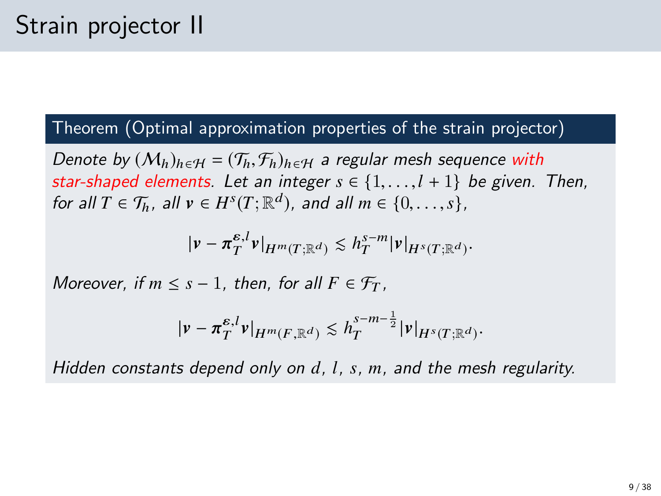### Theorem (Optimal approximation properties of the strain projector)

Denote by  $(M_h)_{h \in H} = (\mathcal{T}_h, \mathcal{F}_h)_{h \in H}$  a regular mesh sequence with star-shaped elements. Let an integer  $s \in \{1, \ldots, l + 1\}$  be given. Then, for all  $T \in \mathcal{T}_h$ , all  $v \in H^s(T; \mathbb{R}^d)$ , and all  $m \in \{0, \ldots, s\}$ ,

$$
|\nu-\pi_T^{\varepsilon,l}\nu|_{H^m(T;\mathbb{R}^d)}\lesssim h_T^{s-m}|\nu|_{H^s(T;\mathbb{R}^d)}.
$$

Moreover, if  $m \leq s - 1$ , then, for all  $F \in \mathcal{F}_T$ .

$$
|\nu-\pi_T^{\varepsilon,l}\nu|_{H^m(F,\mathbb{R}^d)}\lesssim h_T^{s-m-\frac{1}{2}}|\nu|_{H^s(T;\mathbb{R}^d)}.
$$

Hidden constants depend only on *d*, *l*, *s*, *m*, and the mesh regularity.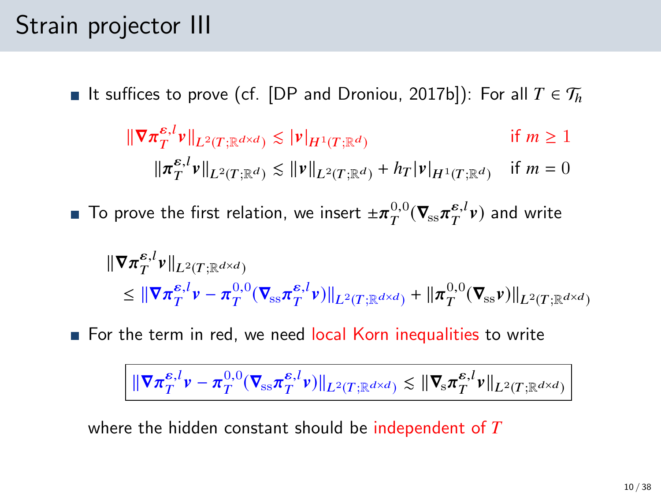## Strain projector III

**■** It suffices to prove (cf. [\[DP and Droniou, 2017b\]](#page-39-2)): For all  $T \in \mathcal{T}_h$ 

$$
\|\nabla \pi_T^{\varepsilon, l} \mathbf{v}\|_{L^2(T; \mathbb{R}^{d \times d})} \lesssim |\mathbf{v}|_{H^1(T; \mathbb{R}^d)}
$$
if  $m \ge 1$   

$$
\|\pi_T^{\varepsilon, l} \mathbf{v}\|_{L^2(T; \mathbb{R}^d)} \lesssim \|\mathbf{v}\|_{L^2(T; \mathbb{R}^d)} + h_T |\mathbf{v}|_{H^1(T; \mathbb{R}^d)}
$$
if  $m = 0$ 

To prove the first relation, we insert  $\pm \pi_T^{0,0} (\nabla_{\!\! \rm ss} \pi_T^{{\epsilon},l} \nu)$  and write

$$
\begin{aligned} \|\nabla \pi_T^{\varepsilon,l} v\|_{L^2(T;\mathbb{R}^{d\times d})} \\ &\leq \|\nabla \pi_T^{\varepsilon,l} v - \pi_T^{0,0}(\nabla_{\rm ss} \pi_T^{\varepsilon,l} v)\|_{L^2(T;\mathbb{R}^{d\times d})} + \|\pi_T^{0,0}(\nabla_{\rm ss} v)\|_{L^2(T;\mathbb{R}^{d\times d})} \end{aligned}
$$

For the term in red, we need local Korn inequalities to write

$$
\|\nabla \pi_T^{\varepsilon,l} \nu - \pi_T^{0,0} (\nabla_{\mathrm{ss}} \pi_T^{\varepsilon,l} \nu) \|_{L^2(T;\mathbb{R}^{d \times d})} \lesssim \|\nabla_{\mathrm{s}} \pi_T^{\varepsilon,l} \nu\|_{L^2(T;\mathbb{R}^{d \times d})}
$$

where the hidden constant should be independent of *T*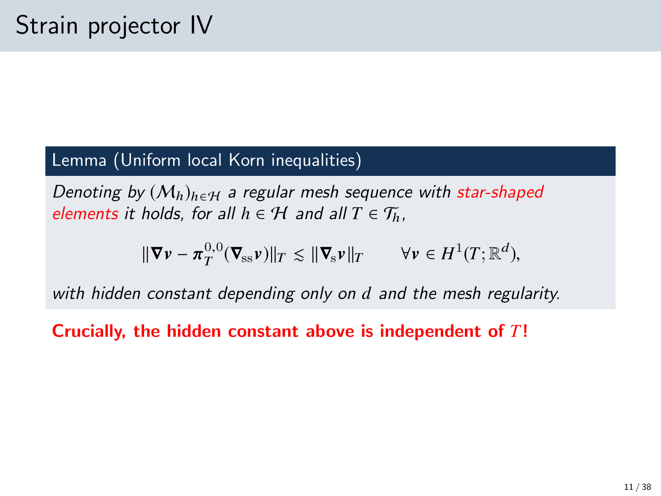### Lemma (Uniform local Korn inequalities)

Denoting by  $(M_h)_{h \in H}$  a regular mesh sequence with star-shaped elements it holds, for all  $h \in \mathcal{H}$  and all  $T \in \mathcal{T}_h$ ,

$$
\|\nabla \mathbf{v} - \boldsymbol{\pi}_T^{0,0}(\nabla_{\rm ss} \mathbf{v})\|_T \lesssim \|\nabla_{\rm s} \mathbf{v}\|_T \qquad \forall \mathbf{v} \in H^1(T; \mathbb{R}^d),
$$

with hidden constant depending only on *d* and the mesh regularity.

Crucially, the hidden constant above is independent of *T*!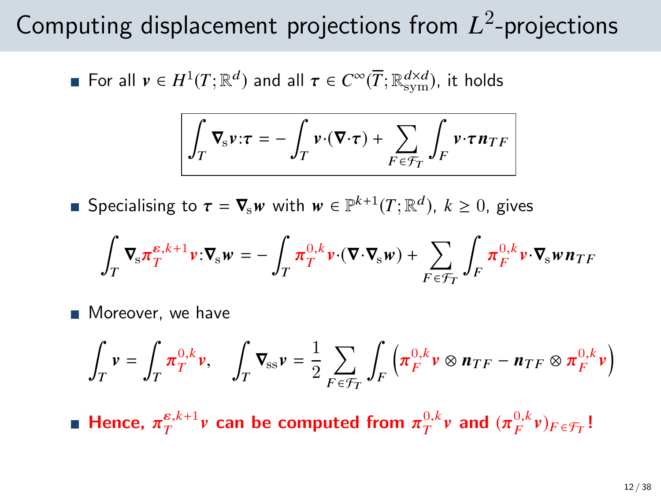# Computing displacement projections from *L* 2 -projections

For all  $v \in H^1(T; \mathbb{R}^d)$  and all  $\tau \in C^\infty(\overline{T}; \mathbb{R}_\mathrm{sym}^{d \times d})$ , it holds

$$
\int_T \nabla_{\mathbf{s}} \mathbf{v} \cdot \boldsymbol{\tau} = -\int_T \mathbf{v} \cdot (\nabla \cdot \boldsymbol{\tau}) + \sum_{F \in \mathcal{F}_T} \int_F \mathbf{v} \cdot \boldsymbol{\tau} \mathbf{n}_{TF}
$$

Specialising to  $\tau = \nabla_{\mathbf{s}} w$  with  $w \in \mathbb{P}^{k+1}(T; \mathbb{R}^d)$ ,  $k \geq 0$ , gives

$$
\int_T \, \pmb{\nabla}_{\!\mathbf{s}} \pmb{\pi}_T^{\pmb{e},k+1} \pmb{\nu} \cdot \pmb{\nabla}_{\!\mathbf{s}} \pmb{\nu} \, = - \, \int_T \, \pmb{\pi}_T^{0,k} \pmb{\nu} \cdot \left( \pmb{\nabla} \cdot \pmb{\nabla}_{\!\mathbf{s}} \pmb{\nu} \right) \, + \, \sum_{F \,\in \, \mathcal{F}_T} \, \int_F \, \pmb{\pi}_F^{0,k} \pmb{\nu} \cdot \pmb{\nabla}_{\!\mathbf{s}} \pmb{\nu} \, \pmb{n}_{TF}
$$

**Moreover**, we have

$$
\int_T \mathbf{v} = \int_T \pi_T^{0,k} \mathbf{v}, \quad \int_T \mathbf{\nabla}_{\text{ss}} \mathbf{v} = \frac{1}{2} \sum_{F \in \mathcal{F}_T} \int_F \left( \pi_F^{0,k} \mathbf{v} \otimes \mathbf{n}_{TF} - \mathbf{n}_{TF} \otimes \pi_F^{0,k} \mathbf{v} \right)
$$

Hence,  $\pi_T^{\varepsilon,k+1}$  v can be computed from  $\pi_T^{0,k}$  v and  $(\pi_F^{0,k} v)_{F \in \mathcal{F}_T}$ !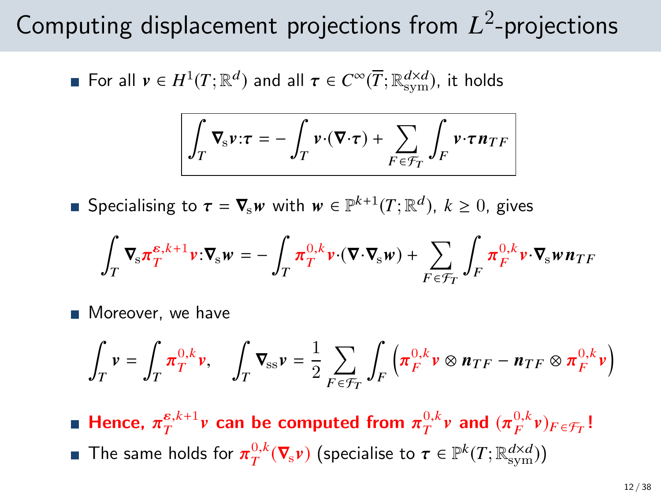# Computing displacement projections from *L* 2 -projections

For all  $v \in H^1(T; \mathbb{R}^d)$  and all  $\tau \in C^\infty(\overline{T}; \mathbb{R}_\mathrm{sym}^{d \times d})$ , it holds

$$
\int_T \nabla_{\mathbf{s}} \mathbf{v} \cdot \boldsymbol{\tau} = -\int_T \mathbf{v} \cdot (\nabla \cdot \boldsymbol{\tau}) + \sum_{F \in \mathcal{F}_T} \int_F \mathbf{v} \cdot \boldsymbol{\tau} \mathbf{n}_{TF}
$$

Specialising to  $\tau = \nabla_{\mathbf{s}} w$  with  $w \in \mathbb{P}^{k+1}(T; \mathbb{R}^d)$ ,  $k \geq 0$ , gives

$$
\int_T \, \pmb{\nabla}_{\!\! s} \pmb{\pi}_T^{\varepsilon,k+1} \pmb{\nu} \!:\! \pmb{\nabla}_{\!\! s} \pmb{\nu} = - \int_T \pmb{\pi}_T^{0,k} \pmb{\nu} \! \cdot \! (\pmb{\nabla} \! \cdot \pmb{\nabla}_{\!\! s} \pmb{\nu}) + \sum_{F \in \mathcal{F}_T} \int_F \pmb{\pi}_F^{0,k} \pmb{\nu} \! \cdot \pmb{\nabla}_{\!\! s} \pmb{\nu} \pmb{n}_{TF}
$$

**Moreover**, we have

$$
\int_T \mathbf{v} = \int_T \pi_T^{0,k} \mathbf{v}, \quad \int_T \nabla_{\rm ss} \mathbf{v} = \frac{1}{2} \sum_{F \in \mathcal{F}_T} \int_F \left( \pi_F^{0,k} \mathbf{v} \otimes \mathbf{n}_{TF} - \mathbf{n}_{TF} \otimes \pi_F^{0,k} \mathbf{v} \right)
$$

Hence,  $\pi_T^{\varepsilon,k+1}$  *v* can be computed from  $\pi_T^{0,k}$  *v* and  $(\pi_F^{0,k} v)_{F \in \mathcal{F}_T}$ ! The same holds for  $\pi_T^{0,k}(\nabla_{\hspace*{-1pt}s} \nu)$  (specialise to  $\tau \in \mathbb{P}^k(T; \mathbb{R}_\mathrm{sym}^{d \times d}))$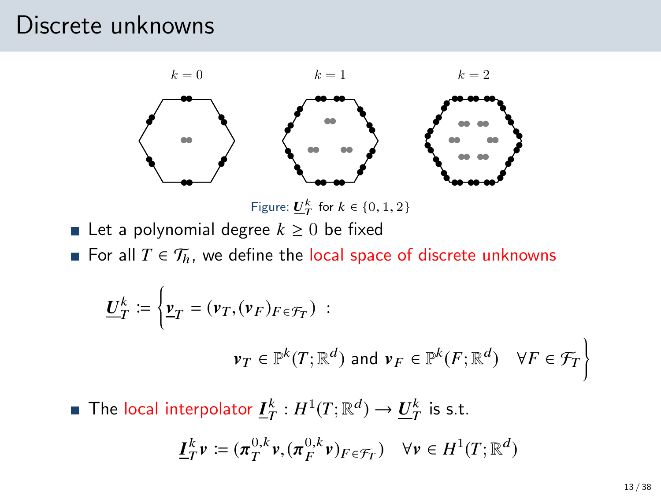### Discrete unknowns



Figure:  $\underline{U}_T^k$  for  $k \in \{0, 1, 2\}$ 

- **■** Let a polynomial degree  $k \geq 0$  be fixed
- **■** For all  $T \in \mathcal{T}_h$ , we define the local space of discrete unknowns

$$
\underline{U}_{T}^{k} := \left\{ \underline{v}_{T} = (\nu_{T}, (\nu_{F})_{F \in \mathcal{F}_{T}}) : \right\}
$$
\n
$$
\nu_{T} \in \mathbb{P}^{k}(T; \mathbb{R}^{d}) \text{ and } \nu_{F} \in \mathbb{P}^{k}(F; \mathbb{R}^{d}) \quad \forall F \in \mathcal{F}_{T} \right\}
$$

The local interpolator  $\underline{I}^k_T: H^1(T;\mathbb{R}^d) \to \underline{U}^k_T$  is s.t.

$$
\underline{I}_T^k \nu \coloneqq (\pi_T^{0,k} \nu, (\pi_F^{0,k} \nu)_{F \in \mathcal{F}_T}) \quad \forall \nu \in H^1(T; \mathbb{R}^d)
$$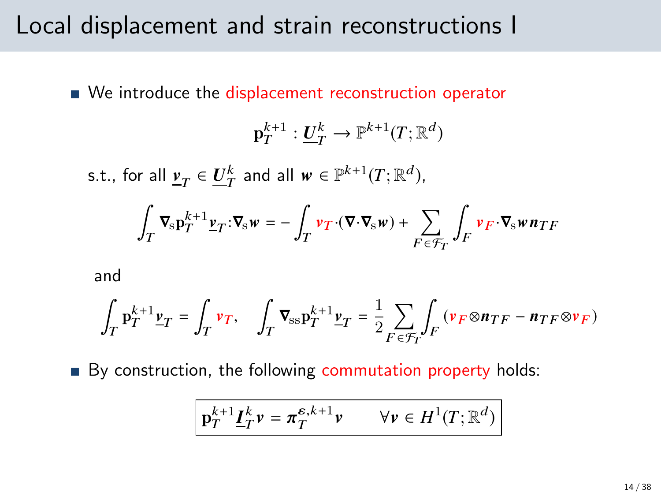### Local displacement and strain reconstructions I

■ We introduce the displacement reconstruction operator

$$
\mathbf{p}_T^{k+1} : \underline{\mathbf{U}}_T^k \to \mathbb{P}^{k+1}(T; \mathbb{R}^d)
$$

s.t., for all  $\underline{v}_T \in \underline{U}_T^k$  and all  $w \in \mathbb{P}^{k+1}(T;\mathbb{R}^d)$ ,

$$
\int_T \nabla_{\hspace{-1pt}s} p_T^{k+1} \underline{\nu}_T \cdot \nabla_{\hspace{-1pt}s} w = - \int_T \nu_T \cdot (\nabla \cdot \nabla_{\hspace{-1pt}s} w) + \sum_{F \in \mathcal{F}_T} \int_F \nu_F \cdot \nabla_{\hspace{-1pt}s} w n_{TF}
$$

and

$$
\int_T \mathbf{p}_T^{k+1} \underline{\mathbf{v}}_T = \int_T \mathbf{v}_T, \quad \int_T \boldsymbol{\nabla}_{\! \! \mathbf{s} \mathbf{s} } \mathbf{p}_T^{k+1} \underline{\mathbf{v}}_T = \frac{1}{2} \sum_{F \in \mathcal{F}_T} \int_F \left( \mathbf{v}_F \!\otimes\! \boldsymbol{n}_{TF} - \boldsymbol{n}_{TF} \!\otimes\! \boldsymbol{v}_F \right)
$$

By construction, the following commutation property holds:

$$
\boxed{\mathbf{p}_T^{k+1} \underline{\boldsymbol{I}}_T^k \mathbf{v} = \pi_T^{\varepsilon, k+1} \mathbf{v} \qquad \forall \mathbf{v} \in H^1(T; \mathbb{R}^d)}
$$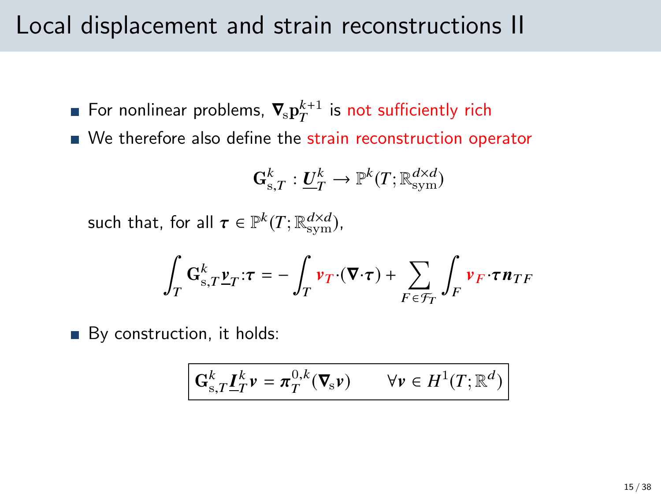### Local displacement and strain reconstructions II

- For nonlinear problems,  $\boldsymbol{\nabla}_{\! \rm s} {\bf p}^{k+1}_{T}$  is not sufficiently rich
- We therefore also define the strain reconstruction operator

$$
\mathbf{G}_{\mathrm{s},T}^k : \underline{\boldsymbol{U}}_T^k \to \mathbb{P}^k(T;\mathbb{R}_\mathrm{sym}^{d \times d})
$$

such that, for all  $\tau \in \mathbb{P}^k(T; \mathbb{R}^{d \times d}_{sym})$ ,

$$
\int_T \mathbf{G}_{s,T}^k \underline{\mathbf{v}}_T \cdot \boldsymbol{\tau} = -\int_T \mathbf{v}_T \cdot (\boldsymbol{\nabla} \cdot \boldsymbol{\tau}) + \sum_{F \in \mathcal{F}_T} \int_F \mathbf{v}_F \cdot \boldsymbol{\tau} \mathbf{n}_{TF}
$$

By construction, it holds:

$$
\mathbf{G}_{s,T}^k \underline{\boldsymbol{I}}_T^k \mathbf{v} = \boldsymbol{\pi}_T^{0,k} (\boldsymbol{\nabla}_s \mathbf{v}) \qquad \forall \mathbf{v} \in H^1(T; \mathbb{R}^d)
$$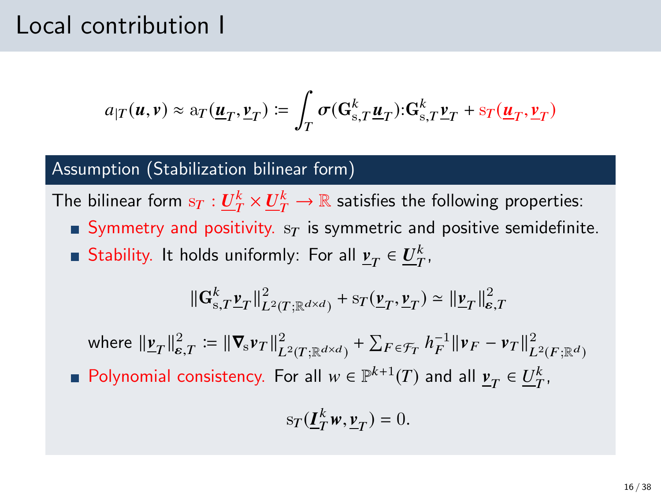### Local contribution I

$$
a_{|T}(\boldsymbol{u},\boldsymbol{v}) \approx \mathbf{a}_T(\underline{\boldsymbol{u}}_T, \underline{\boldsymbol{v}}_T) := \int_T \sigma(\mathbf{G}_{\mathrm{s},T}^k \underline{\boldsymbol{u}}_T) \cdot \mathbf{G}_{\mathrm{s},T}^k \underline{\boldsymbol{v}}_T + s_T(\underline{\boldsymbol{u}}_T, \underline{\boldsymbol{v}}_T)
$$

#### Assumption (Stabilization bilinear form)

The bilinear form  $\mathrm{s}_T:\underline{U}_T^k\times \underline{U}_T^k\to\mathbb{R}$  satisfies the following properties:

- **Symmetry and positivity.**  $s_T$  is symmetric and positive semidefinite.
- Stability. It holds uniformly: For all  $\underline{v}_T \in \underline{U}_T^k$ ,

$$
\|\mathbf{G}_{\mathbf{s},T}^k \mathbf{y}_T\|_{L^2(T;\mathbb{R}^{d \times d})}^2 + s_T(\mathbf{y}_T, \mathbf{y}_T) \simeq \|\mathbf{y}_T\|_{\mathbf{\varepsilon},T}^2
$$

where  $||\mathbf{v}_T||_{\mathcal{E},T}^2 = ||\nabla_s \mathbf{v}_T||_{L^2(T;\mathbb{R}^{d \times d})}^2 + \sum_{F \in \mathcal{F}_T} h_F^{-1} ||\mathbf{v}_F - \mathbf{v}_T||_{L^2(F;\mathbb{R}^d)}^2$ Polynomial consistency. For all  $w \in \mathbb{P}^{k+1}(T)$  and all  $\underline{v}_T \in \underline{U}_T^k$ ,

$$
s_T(\underline{\boldsymbol{I}}_T^k \boldsymbol{w}, \underline{\boldsymbol{v}}_T) = 0.
$$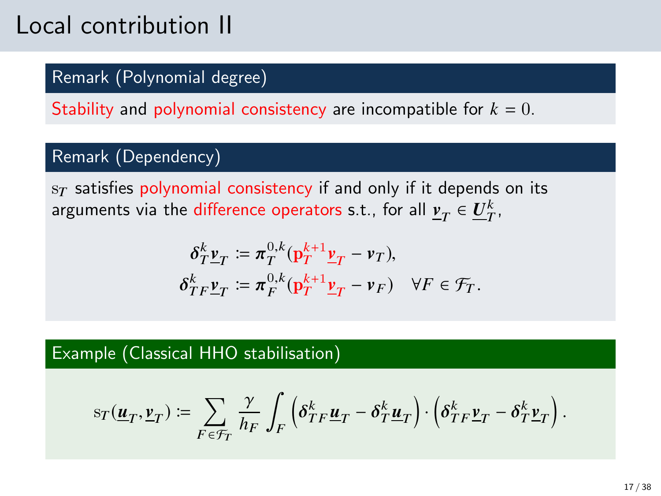# Local contribution II

### Remark (Polynomial degree)

Stability and polynomial consistency are incompatible for  $k = 0$ .

#### Remark (Dependency)

 $s_T$  satisfies polynomial consistency if and only if it depends on its arguments via the difference operators s.t., for all  $\underline{v}_T\in \underline{U}_T^k,$ 

$$
\delta_T^k \underline{\mathbf{v}}_T := \pi_T^{0,k} (\underline{\mathbf{p}}_T^{k+1} \underline{\mathbf{v}}_T - \mathbf{v}_T),
$$
  
\n
$$
\delta_{TF}^k \underline{\mathbf{v}}_T := \pi_F^{0,k} (\underline{\mathbf{p}}_T^{k+1} \underline{\mathbf{v}}_T - \mathbf{v}_F) \quad \forall F \in \mathcal{F}_T.
$$

### Example (Classical HHO stabilisation)

$$
\mathbf{s}_T(\underline{\pmb{u}}_T,\underline{\pmb{\nu}}_T) \coloneqq \sum_{F \in \mathcal{F}_T} \frac{\gamma}{h_F} \int_F \left( \pmb{\delta}^k_{TF} \underline{\pmb{u}}_T - \pmb{\delta}^k_T \underline{\pmb{u}}_T \right) \cdot \left( \pmb{\delta}^k_{TF} \underline{\pmb{\nu}}_T - \pmb{\delta}^k_T \underline{\pmb{\nu}}_T \right).
$$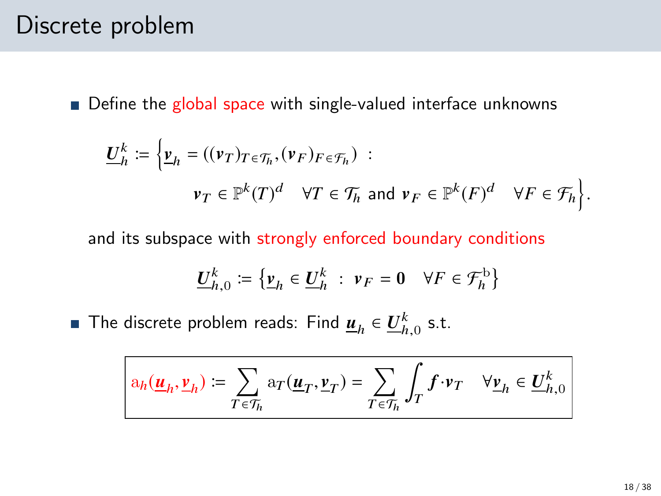### Discrete problem

 $\blacksquare$  Define the global space with single-valued interface unknowns

$$
\underline{U}_h^k := \left\{ \underline{v}_h = ((\nu_T)_{T \in \mathcal{T}_h}, (\nu_F)_{F \in \mathcal{T}_h}) \ : \right.
$$
  

$$
\nu_T \in \mathbb{P}^k(T)^d \quad \forall T \in \mathcal{T}_h \text{ and } \nu_F \in \mathbb{P}^k(F)^d \quad \forall F \in \mathcal{T}_h \right\}.
$$

and its subspace with strongly enforced boundary conditions

$$
\underline{U}_{h,0}^k := \left\{ \underline{v}_h \in \underline{U}_h^k \; : \; v_F = 0 \quad \forall F \in \mathcal{F}_h^{\mathrm{b}} \right\}
$$

The discrete problem reads: Find  $\underline{\boldsymbol{u}}_h \in \underline{U}_{h,0}^k$  s.t.

$$
\mathbf{a}_h(\underline{\boldsymbol{u}}_h,\underline{\boldsymbol{v}}_h) \coloneqq \sum_{T \in \mathcal{T}_h} \mathbf{a}_T(\underline{\boldsymbol{u}}_T,\underline{\boldsymbol{v}}_T) = \sum_{T \in \mathcal{T}_h} \int_T \boldsymbol{f} \cdot \boldsymbol{v}_T \quad \forall \underline{\boldsymbol{v}}_h \in \underline{\boldsymbol{U}}_{h,0}^k
$$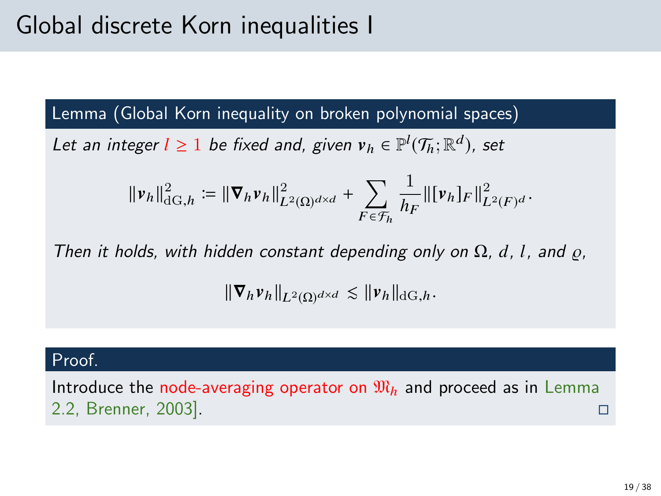# Global discrete Korn inequalities I

Lemma (Global Korn inequality on broken polynomial spaces)

Let an integer  $l \geq 1$  be fixed and, given  $v_h \in \mathbb{P}^l(\mathcal{T}_h; \mathbb{R}^d)$ , set

$$
\|\nu_h\|_{\mathrm{dG},h}^2 := \|\nabla_h \nu_h\|_{L^2(\Omega)^{d\times d}}^2 + \sum_{F \in \mathcal{F}_h} \frac{1}{h_F} \|\nu_h\|_F \|^2_{L^2(F)^d}.
$$

Then it holds, with hidden constant depending only on  $\Omega$ , d, l, and  $\rho$ ,

 $\|\nabla_h v_h\|_{L^2(\Omega)^{d\times d}} \lesssim \|v_h\|_{\mathrm{dG},h}.$ 

#### Proof.

Introduce the node-averaging operator on  $\mathfrak{M}_h$  and proceed as in Lemma 2.2, Brenner, 2003].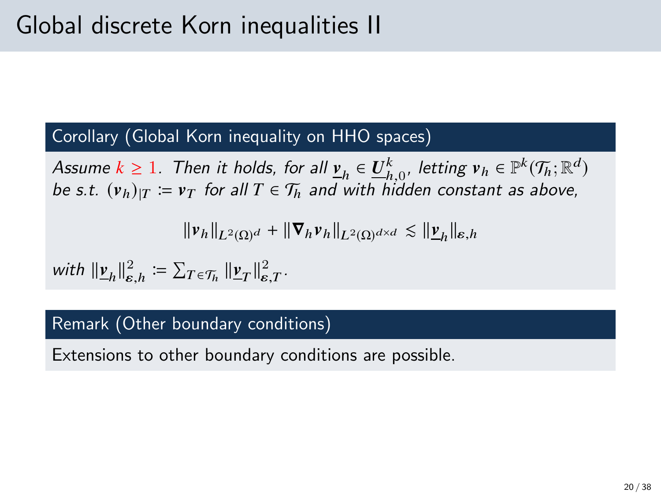### Corollary (Global Korn inequality on HHO spaces)

Assume  $k \ge 1$ . Then it holds, for all  $\underline{v}_h \in \underline{U}_{h,0}^k$ , letting  $v_h \in \mathbb{P}^k(\mathcal{T}_h;\mathbb{R}^d)$ be s.t.  $(v_h)_{|T} := v_T$  for all  $T \in \mathcal{T}_h$  and with hidden constant as above,

$$
\|\boldsymbol{v}_h\|_{L^2(\Omega)^d} + \|\boldsymbol{\nabla}_h \boldsymbol{v}_h\|_{L^2(\Omega)^{d \times d}} \lesssim \|\boldsymbol{\underline{v}}_h\|_{\boldsymbol{\varepsilon},h}
$$

with  $\|\underline{\mathbf{v}}_h\|_{\varepsilon,h}^2 \coloneqq \sum_{T \in \mathcal{T}_h} \|\underline{\mathbf{v}}_T\|_{\varepsilon,T}^2$ .

#### Remark (Other boundary conditions)

Extensions to other boundary conditions are possible.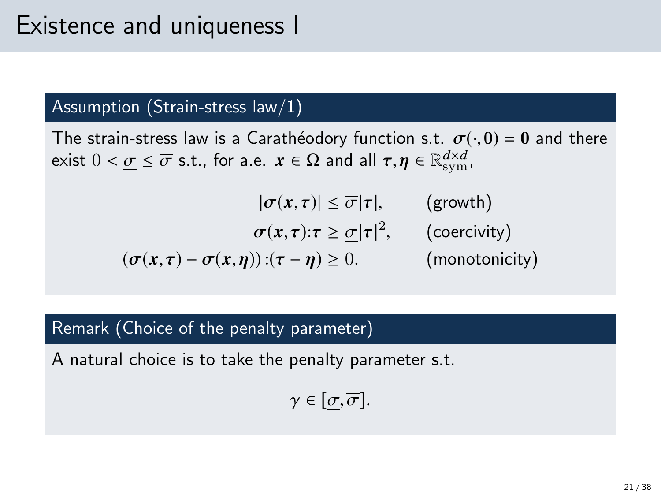### Existence and uniqueness I

#### Assumption (Strain-stress law/1)

The strain-stress law is a Carathéodory function s.t.  $\sigma(\cdot, 0) = 0$  and there exist  $0 < \underline{\sigma} \le \overline{\sigma}$  s.t., for a.e.  $\boldsymbol{x} \in \Omega$  and all  $\boldsymbol{\tau}, \boldsymbol{\eta} \in \mathbb{R}_{sym}^{d \times d}$ ,

$$
|\sigma(x,\tau)| \leq \overline{\sigma}|\tau|, \qquad \text{(growth)}
$$

$$
\sigma(x,\tau): \tau \geq \underline{\sigma}|\tau|^2, \qquad \text{(coercivity)}
$$

$$
(\sigma(x,\tau) - \sigma(x,\eta)):(\tau - \eta) \geq 0. \qquad \text{(monotonicity)}
$$

#### Remark (Choice of the penalty parameter)

A natural choice is to take the penalty parameter s.t.

$$
\gamma\in[\underline{\sigma},\overline{\sigma}].
$$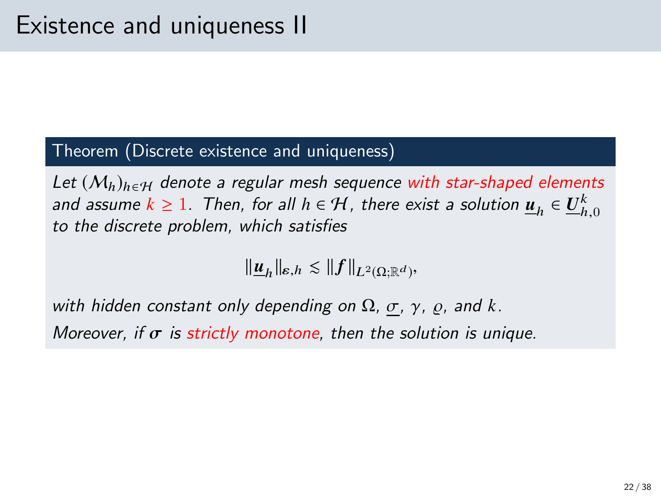#### Theorem (Discrete existence and uniqueness)

Let  $(M_h)_{h \in H}$  denote a regular mesh sequence with star-shaped elements and assume  $k \ge 1$ . Then, for all  $h \in H$ , there exist a solution  $\underline{u}_h \in \underline{U}_{h,0}^k$ <br>to the discrete problem, which satisfies to the discrete problem, which satisfies

 $\|\underline{\boldsymbol{u}}_h\|_{\boldsymbol{\varepsilon},h} \lesssim \|f\|_{L^2(\Omega;\mathbb{R}^d)},$ 

with hidden constant only depending on  $\Omega$ ,  $\sigma$ ,  $\gamma$ ,  $\varrho$ , and *k*. Moreover, if  $\sigma$  is strictly monotone, then the solution is unique.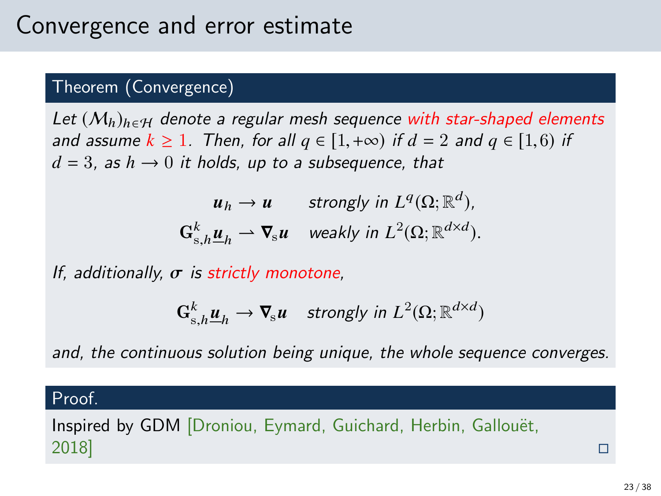### Theorem (Convergence)

Let  $(M_h)_{h \in H}$  denote a regular mesh sequence with star-shaped elements and assume  $k \ge 1$ . Then, for all  $q \in [1, +\infty)$  if  $d = 2$  and  $q \in [1, 6)$  if  $d = 3$ , as  $h \rightarrow 0$  it holds, up to a subsequence, that

> $u_h \to u$  strongly in  $L^q(\Omega;\mathbb{R}^d)$ ,  $\mathbf{G}_{s,h}^k \underline{\boldsymbol{u}}_h \rightharpoonup \boldsymbol{\nabla}_s \boldsymbol{u}$  weakly in  $L^2(\Omega;\mathbb{R}^{d \times d})$ .

If, additionally,  $\sigma$  is strictly monotone,

$$
\mathbf{G}_{s,h}^k \underline{\boldsymbol{u}}_h \to \boldsymbol{\nabla}_s \boldsymbol{u} \quad \text{strongly in } L^2(\Omega; \mathbb{R}^{d \times d})
$$

and, the continuous solution being unique, the whole sequence converges.

#### Proof.

Inspired by GDM [Droniou, Eymard, Guichard, Herbin, Gallouët, 2018]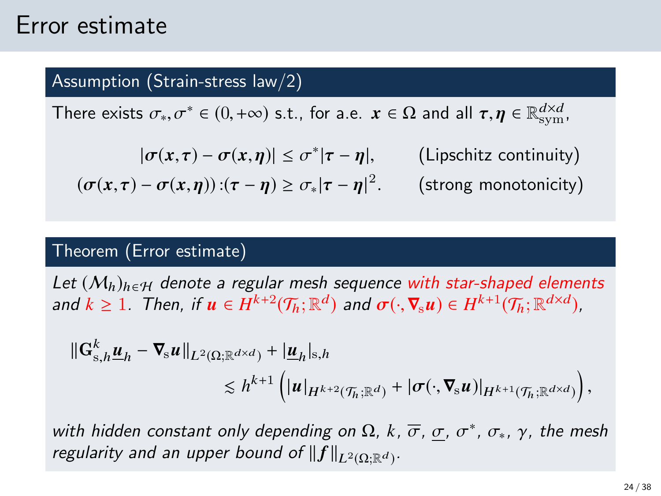### Error estimate

#### Assumption (Strain-stress law/2)

There exists  $\sigma_*, \sigma^* \in (0, +\infty)$  s.t., for a.e.  $\bm{x} \in \Omega$  and all  $\bm{\tau}, \bm{\eta} \in \mathbb{R}_\text{sym}^{d \times d}$ ,

$$
|\sigma(x,\tau) - \sigma(x,\eta)| \le \sigma^* |\tau - \eta|, \qquad \text{(Lipschitz continuity)}
$$
  

$$
(\sigma(x,\tau) - \sigma(x,\eta)) : (\tau - \eta) \ge \sigma_* |\tau - \eta|^2. \qquad \text{(strong monotonicity)}
$$

#### Theorem (Error estimate)

Let  $(M_h)_{h \in H}$  denote a regular mesh sequence with star-shaped elements and  $k \ge 1$ . Then, if  $u \in H^{k+2}(\mathcal{T}_h;\mathbb{R}^d)$  and  $\sigma(\cdot,\nabla_s u) \in H^{k+1}(\mathcal{T}_h;\mathbb{R}^{d \times d})$ ,

$$
\begin{split} \|\mathbf{G}_{\mathrm{s},h}^{k}\underline{\boldsymbol{u}}_{h} - \boldsymbol{\nabla}_{\mathrm{s}}\boldsymbol{u}\|_{L^{2}(\Omega;\mathbb{R}^{d\times d})} + |\underline{\boldsymbol{u}}_{h}|_{\mathrm{s},h} \\ &\lesssim h^{k+1}\left(|\boldsymbol{u}|_{H^{k+2}(\mathcal{T}_{h};\mathbb{R}^{d})} + |\boldsymbol{\sigma}(\cdot,\boldsymbol{\nabla}_{\mathrm{s}}\boldsymbol{u})|_{H^{k+1}(\mathcal{T}_{h};\mathbb{R}^{d\times d})}\right), \end{split}
$$

with hidden constant only depending on  $\Omega$ ,  $k$ ,  $\overline{\sigma}$ ,  $\underline{\sigma}$ ,  $\sigma^*$ ,  $\sigma_*$ ,  $\gamma$ , the mesh<br>regularity and an unner bound of ll fllass ash regularity and an upper bound of  $||f||_{L^2(\Omega;\mathbb{R}^d)}$ .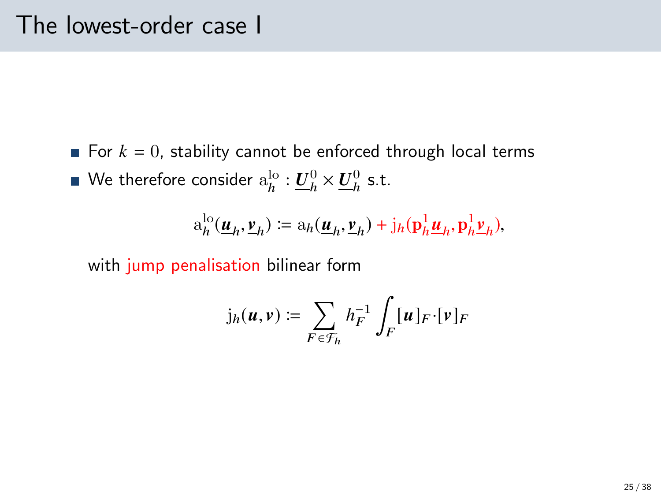For  $k = 0$ , stability cannot be enforced through local terms We therefore consider  $\mathrm{a}^{\mathrm{lo}}_h: \underline{U}^0_h \times \underline{U}^0_h$  s.t.

$$
\mathrm{a}_h^{\mathrm{lo}}(\underline{\boldsymbol{u}}_h, \underline{\boldsymbol{v}}_h) \coloneqq \mathrm{a}_h(\underline{\boldsymbol{u}}_h, \underline{\boldsymbol{v}}_h) + \mathrm{j}_h(\mathbf{p}_h^1 \underline{\boldsymbol{u}}_h, \mathbf{p}_h^1 \underline{\boldsymbol{v}}_h),
$$

with jump penalisation bilinear form

$$
\mathfrak{j}_h(u,v) \coloneqq \sum_{F \in \mathcal{F}_h} h_F^{-1} \int_F [u]_F \cdot [v]_F
$$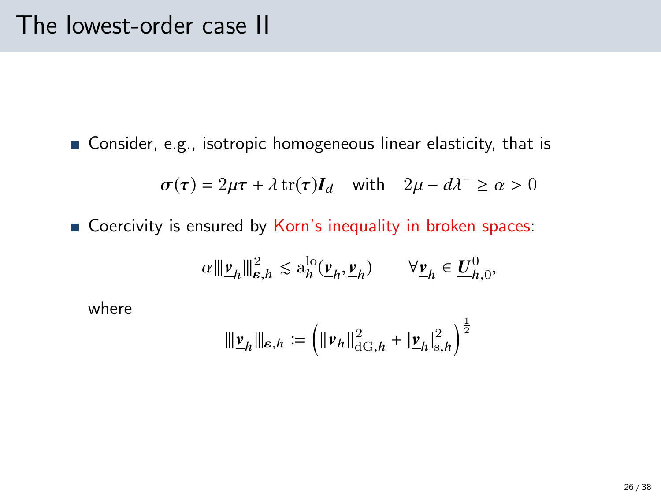Consider, e.g., isotropic homogeneous linear elasticity, that is

$$
\sigma(\tau) = 2\mu\tau + \lambda \operatorname{tr}(\tau)I_d \quad \text{with} \quad 2\mu - d\lambda^- \ge \alpha > 0
$$

Coercivity is ensured by Korn's inequality in broken spaces:

$$
\alpha \|\underline{\mathbf{v}}_h\|_{\varepsilon,h}^2 \lesssim \mathbf{a}_h^{\mathrm{lo}}(\underline{\mathbf{v}}_h, \underline{\mathbf{v}}_h) \qquad \forall \underline{\mathbf{v}}_h \in \underline{U}_{h,0}^0,
$$

where

$$
\|\underline{\boldsymbol{\nu}}_h\|_{\epsilon,h}\coloneqq \left(\|\boldsymbol{\nu}_h\|_{{\rm dG},h}^2+|\underline{\boldsymbol{\nu}}_h|_{s,h}^2\right)^{\frac{1}{2}}
$$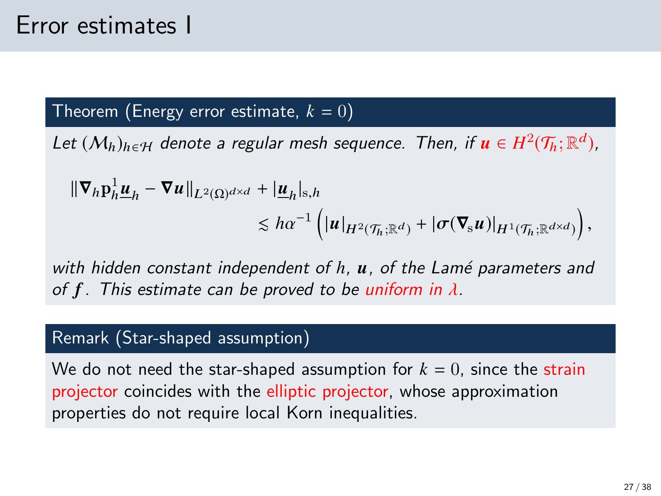### Theorem (Energy error estimate,  $k = 0$ )

Let  $(\mathcal{M}_h)_{h\in\mathcal{H}}$  denote a regular mesh sequence. Then, if  $\boldsymbol{u}\in H^2(\mathcal{T}_h;\mathbb{R}^d)$ ,

$$
\begin{aligned} \|\nabla_h \mathbf{p}_h^1 \underline{\boldsymbol{u}}_h - \nabla \boldsymbol{u} \|_{L^2(\Omega)^{d \times d}} + |\underline{\boldsymbol{u}}_h|_{\mathbf{s},h} \\ &\leq h \alpha^{-1} \left( |\boldsymbol{u}|_{H^2(\mathcal{T}_h; \mathbb{R}^d)} + |\sigma(\nabla_{\mathbf{s}} \boldsymbol{u})|_{H^1(\mathcal{T}_h; \mathbb{R}^{d \times d})} \right), \end{aligned}
$$

with hidden constant independent of h, u, of the Lamé parameters and of f. This estimate can be proved to be uniform in  $\lambda$ .

### Remark (Star-shaped assumption)

We do not need the star-shaped assumption for  $k = 0$ , since the strain projector coincides with the elliptic projector, whose approximation properties do not require local Korn inequalities.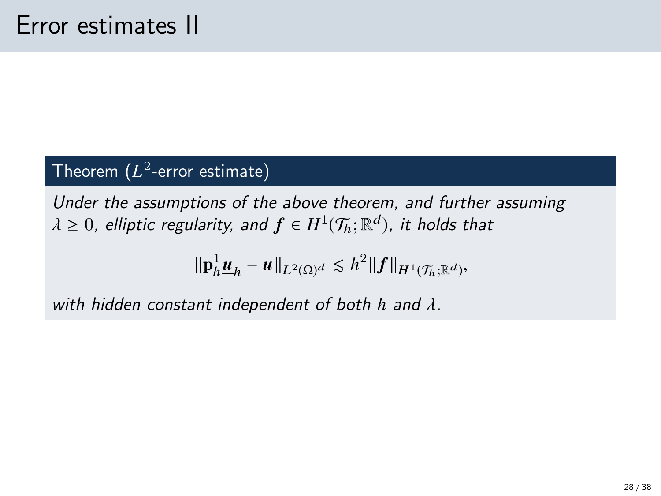### $\mathsf{T}$ heorem  $(L^2\text{-}\mathsf{error}\; \mathsf{estimate})$

Under the assumptions of the above theorem, and further assuming  $\lambda \geq 0$ , elliptic regularity, and  $f \in H^1(\mathcal{T}_h;\mathbb{R}^d)$ , it holds that

$$
\|\mathbf{p}_h^1 \underline{\boldsymbol{u}}_h - \underline{\boldsymbol{u}}\|_{L^2(\Omega)^d} \lesssim h^2 \|f\|_{H^1(\mathcal{T}_h; \mathbb{R}^d)},
$$

with hidden constant independent of both *<sup>h</sup>* and λ.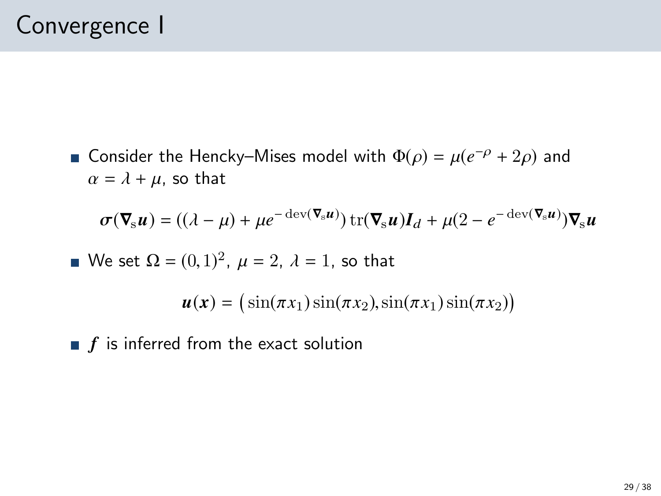Consider the Hencky–Mises model with  $\Phi(\rho) = \mu(e^{-\rho} + 2\rho)$  and  $\alpha = \lambda + \mu$  so that  $\alpha = \lambda + \mu$ , so that

$$
\boldsymbol{\sigma}(\nabla_{\mathbf{s}}\boldsymbol{u}) = ((\lambda - \mu) + \mu e^{-\text{dev}(\nabla_{\mathbf{s}}\boldsymbol{u})}) \text{tr}(\nabla_{\mathbf{s}}\boldsymbol{u})\boldsymbol{I}_d + \mu(2 - e^{-\text{dev}(\nabla_{\mathbf{s}}\boldsymbol{u})})\nabla_{\mathbf{s}}\boldsymbol{u}
$$

We set 
$$
\Omega = (0, 1)^2
$$
,  $\mu = 2$ ,  $\lambda = 1$ , so that

 $u(x) = (\sin(\pi x_1)\sin(\pi x_2), \sin(\pi x_1)\sin(\pi x_2))$ 

 $\blacksquare$  f is inferred from the exact solution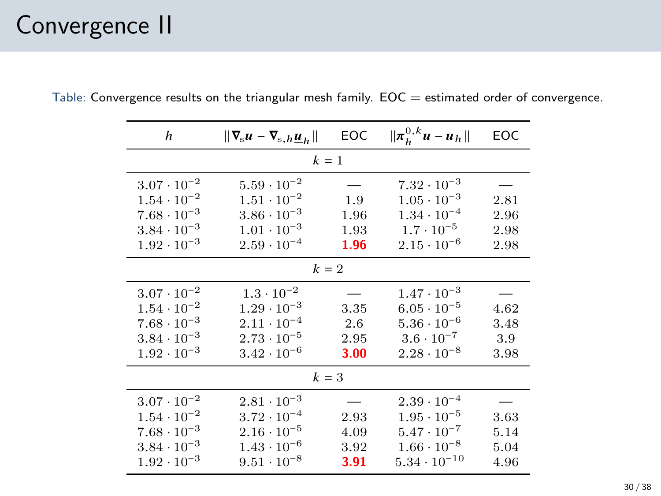# Convergence II

| h                    | $\ \nabla_{\rm s} u - \nabla_{\rm s,h} \underline{u}_h\ $ | <b>EOC</b> | $\ \pi_h^{0,k} u - u_h\ $ | EOC  |  |  |
|----------------------|-----------------------------------------------------------|------------|---------------------------|------|--|--|
| $k=1$                |                                                           |            |                           |      |  |  |
| $3.07 \cdot 10^{-2}$ | $5.59 \cdot 10^{-2}$                                      |            | $7.32 \cdot 10^{-3}$      |      |  |  |
| $1.54 \cdot 10^{-2}$ | $1.51 \cdot 10^{-2}$                                      | 1.9        | $1.05 \cdot 10^{-3}$      | 2.81 |  |  |
| $7.68 \cdot 10^{-3}$ | $3.86 \cdot 10^{-3}$                                      | 1.96       | $1.34 \cdot 10^{-4}$      | 2.96 |  |  |
| $3.84 \cdot 10^{-3}$ | $1.01 \cdot 10^{-3}$                                      | 1.93       | $1.7 \cdot 10^{-5}$       | 2.98 |  |  |
| $1.92 \cdot 10^{-3}$ | $2.59 \cdot 10^{-4}$                                      | 1.96       | $2.15 \cdot 10^{-6}$      | 2.98 |  |  |
| $k = 2$              |                                                           |            |                           |      |  |  |
| $3.07 \cdot 10^{-2}$ | $1.3 \cdot 10^{-2}$                                       |            | $1.47 \cdot 10^{-3}$      |      |  |  |
| $1.54 \cdot 10^{-2}$ | $1.29 \cdot 10^{-3}$                                      | 3.35       | $6.05 \cdot 10^{-5}$      | 4.62 |  |  |
| $7.68 \cdot 10^{-3}$ | $2.11 \cdot 10^{-4}$                                      | 2.6        | $5.36 \cdot 10^{-6}$      | 3.48 |  |  |
| $3.84 \cdot 10^{-3}$ | $2.73 \cdot 10^{-5}$                                      | 2.95       | $3.6 \cdot 10^{-7}$       | 3.9  |  |  |
| $1.92 \cdot 10^{-3}$ | $3.42 \cdot 10^{-6}$                                      | 3.00       | $2.28 \cdot 10^{-8}$      | 3.98 |  |  |
| $k=3$                |                                                           |            |                           |      |  |  |
| $3.07 \cdot 10^{-2}$ | $2.81 \cdot 10^{-3}$                                      |            | $2.39 \cdot 10^{-4}$      |      |  |  |
| $1.54 \cdot 10^{-2}$ | $3.72 \cdot 10^{-4}$                                      | 2.93       | $1.95 \cdot 10^{-5}$      | 3.63 |  |  |
| $7.68 \cdot 10^{-3}$ | $2.16 \cdot 10^{-5}$                                      | 4.09       | $5.47 \cdot 10^{-7}$      | 5.14 |  |  |
| $3.84 \cdot 10^{-3}$ | $1.43 \cdot 10^{-6}$                                      | 3.92       | $1.66 \cdot 10^{-8}$      | 5.04 |  |  |
| $1.92 \cdot 10^{-3}$ | $9.51 \cdot 10^{-8}$                                      | 3.91       | $5.34 \cdot 10^{-10}$     | 4.96 |  |  |

Table: Convergence results on the triangular mesh family.  $EOC =$  estimated order of convergence.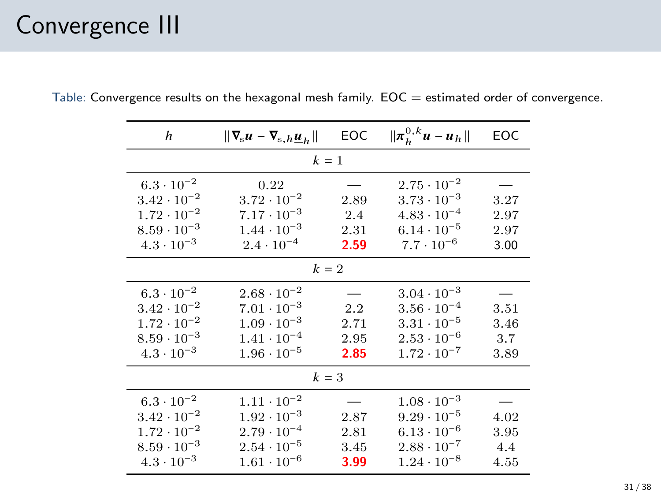# Convergence III

| h                    | $\ \nabla_{\rm s} u - \nabla_{\rm s,h} \underline{u}_h\ $ | <b>EOC</b> | $\ \pi_h^{0,k} u - u_h\ $ | EOC  |  |  |
|----------------------|-----------------------------------------------------------|------------|---------------------------|------|--|--|
| $k=1$                |                                                           |            |                           |      |  |  |
| $6.3 \cdot 10^{-2}$  | 0.22                                                      |            | $2.75 \cdot 10^{-2}$      |      |  |  |
| $3.42 \cdot 10^{-2}$ | $3.72 \cdot 10^{-2}$                                      | 2.89       | $3.73 \cdot 10^{-3}$      | 3.27 |  |  |
| $1.72 \cdot 10^{-2}$ | $7.17 \cdot 10^{-3}$                                      | 2.4        | $4.83 \cdot 10^{-4}$      | 2.97 |  |  |
| $8.59 \cdot 10^{-3}$ | $1.44 \cdot 10^{-3}$                                      | 2.31       | $6.14 \cdot 10^{-5}$      | 2.97 |  |  |
| $4.3 \cdot 10^{-3}$  | $2.4 \cdot 10^{-4}$                                       | 2.59       | $7.7 \cdot 10^{-6}$       | 3.00 |  |  |
| $k=2$                |                                                           |            |                           |      |  |  |
| $6.3 \cdot 10^{-2}$  | $2.68 \cdot 10^{-2}$                                      |            | $3.04 \cdot 10^{-3}$      |      |  |  |
| $3.42 \cdot 10^{-2}$ | $7.01 \cdot 10^{-3}$                                      | 2.2        | $3.56 \cdot 10^{-4}$      | 3.51 |  |  |
| $1.72 \cdot 10^{-2}$ | $1.09 \cdot 10^{-3}$                                      | 2.71       | $3.31 \cdot 10^{-5}$      | 3.46 |  |  |
| $8.59 \cdot 10^{-3}$ | $1.41 \cdot 10^{-4}$                                      | 2.95       | $2.53 \cdot 10^{-6}$      | 3.7  |  |  |
| $4.3 \cdot 10^{-3}$  | $1.96 \cdot 10^{-5}$                                      | 2.85       | $1.72 \cdot 10^{-7}$      | 3.89 |  |  |
| $k=3$                |                                                           |            |                           |      |  |  |
| $6.3 \cdot 10^{-2}$  | $1.11 \cdot 10^{-2}$                                      |            | $1.08 \cdot 10^{-3}$      |      |  |  |
| $3.42 \cdot 10^{-2}$ | $1.92 \cdot 10^{-3}$                                      | 2.87       | $9.29 \cdot 10^{-5}$      | 4.02 |  |  |
| $1.72 \cdot 10^{-2}$ | $2.79 \cdot 10^{-4}$                                      | 2.81       | $6.13 \cdot 10^{-6}$      | 3.95 |  |  |
| $8.59 \cdot 10^{-3}$ | $2.54 \cdot 10^{-5}$                                      | 3.45       | $2.88 \cdot 10^{-7}$      | 4.4  |  |  |
| $4.3 \cdot 10^{-3}$  | $1.61 \cdot 10^{-6}$                                      | 3.99       | $1.24 \cdot 10^{-8}$      | 4.55 |  |  |

Table: Convergence results on the hexagonal mesh family.  $EOC =$  estimated order of convergence.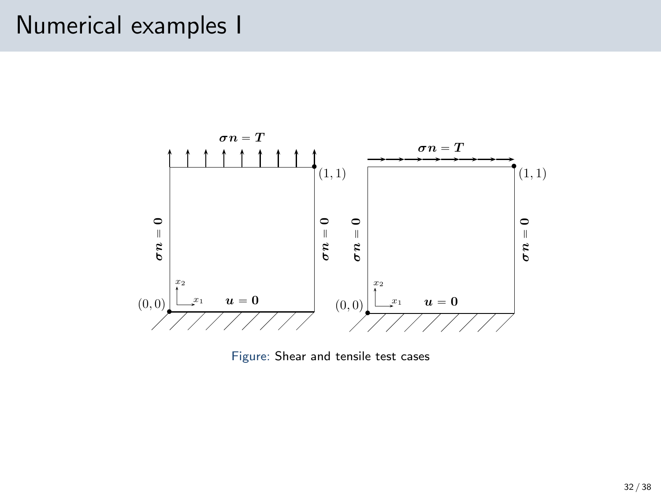### Numerical examples I



Figure: Shear and tensile test cases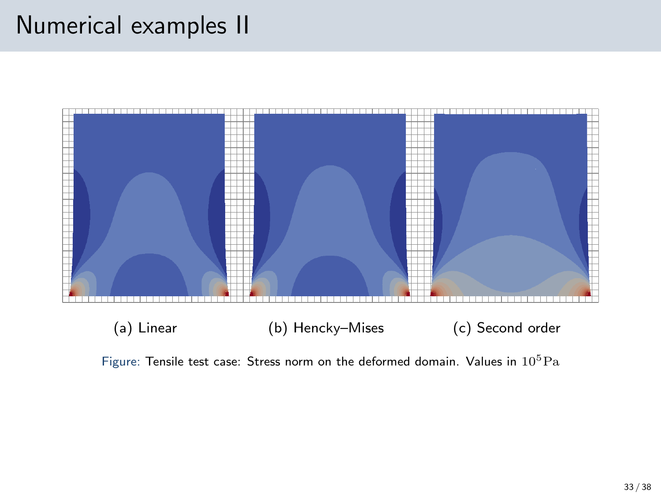## Numerical examples II



Figure: Tensile test case: Stress norm on the deformed domain. Values in  $10^5 \mathrm{Pa}$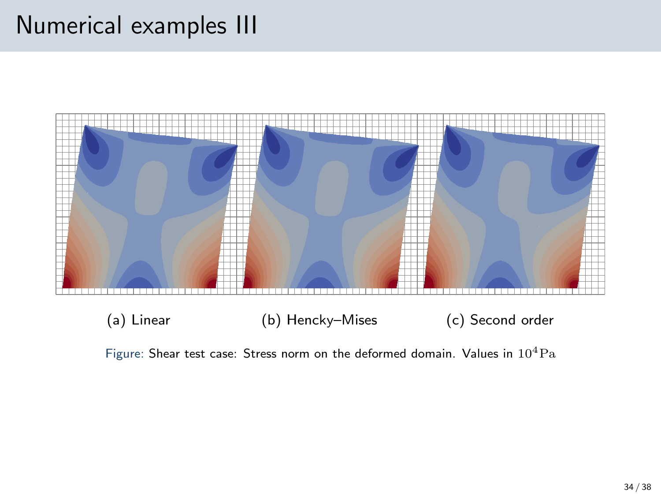### Numerical examples III



Figure: Shear test case: Stress norm on the deformed domain. Values in  $10^4 \text{Pa}$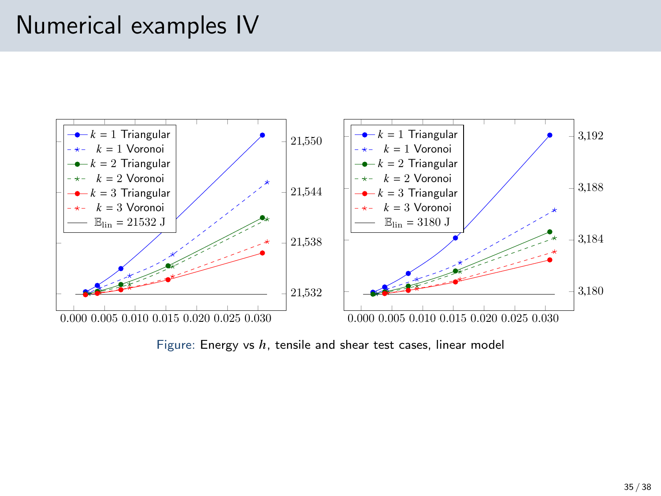### Numerical examples IV



Figure: Energy vs  $h$ , tensile and shear test cases, linear model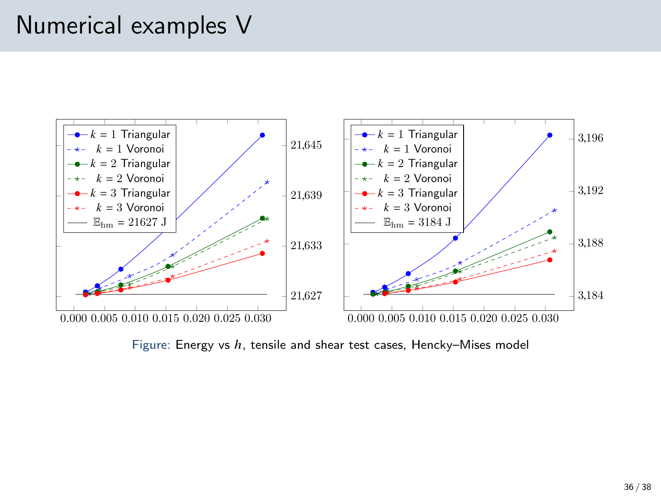### Numerical examples V



Figure: Energy vs  $h$ , tensile and shear test cases, Hencky–Mises model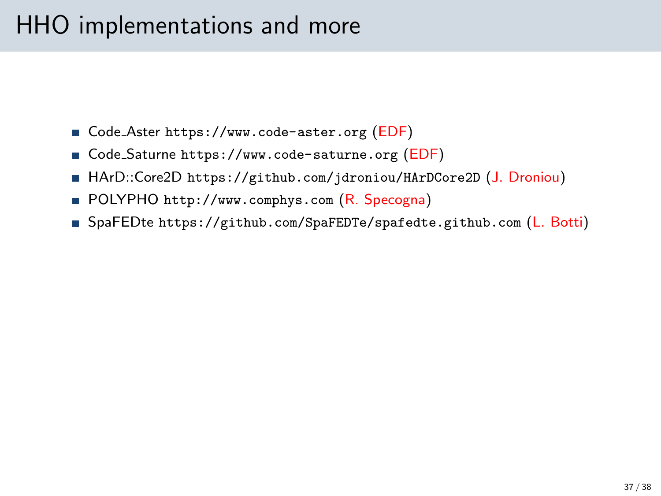# HHO implementations and more

- Code\_Aster <https://www.code-aster.org> (EDF)
- Code\_Saturne <https://www.code-saturne.org> (EDF)
- HArD::Core2D <https://github.com/jdroniou/HArDCore2D> (J. Droniou)
- POLYPHO <http://www.comphys.com> (R. Specogna)
- SpaFEDte <https://github.com/SpaFEDTe/spafedte.github.com> (L. Botti)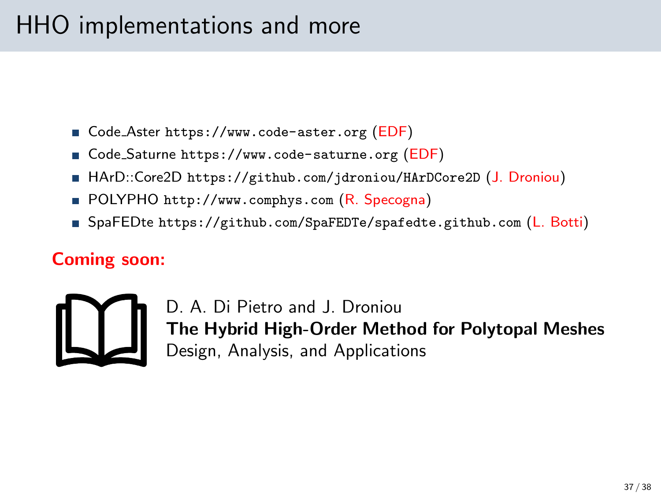# HHO implementations and more

- Code\_Aster <https://www.code-aster.org> (EDF)
- Code\_Saturne <https://www.code-saturne.org> (EDF)
- HArD::Core2D <https://github.com/jdroniou/HArDCore2D> (J. Droniou)
- POLYPHO <http://www.comphys.com> (R. Specogna)
- SpaFEDte <https://github.com/SpaFEDTe/spafedte.github.com> (L. Botti)

### Coming soon:



D. A. Di Pietro and J. Droniou The Hybrid High-Order Method for Polytopal Meshes Design, Analysis, and Applications